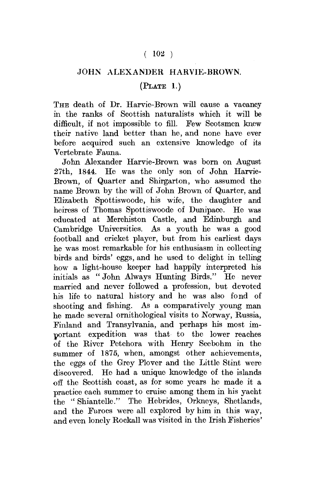## $(102)$

## JOHN ALEXANDER HARVIE-BROWN.

## $(PLATE 1.)$

THE death of Dr. Harvie-Brown will cause a vacancy in the ranks of Scottish naturalists which it will be difficult, if not impossible to fill. Few Scotsmen knew their native land better than he, and none have ever before acquired such an extensive knowledge of its Vertebrate Fauna.

John Alexander Harvie-Brown was born on August 27th, 1844. He was the only son of John Harvie-Brown, of Quarter and Shirgarton, who assumed the name Brown by the will of John Brown of Quarter, and Elizabeth Spottiswoode, his wife, the daughter and heiress of Thomas Spottiswoode of Dunipace. He was educated at Merchiston Castle, and Edinburgh and Cambridge Universities. As a youth he was a good football and cricket player, but from his earliest days he was most remarkable for his enthusiasm in collecting birds and birds' eggs, and he used to delight in telling how a light-house keeper had happily interpreted his initials as " John Always Hunting Birds." He never married and never followed a profession, but devoted his life to natural history and he was also fond of shooting and fishing. As a comparatively young man he made several ornithological visits to Norway, Russia, Finland and Transylvania, and perhaps his most important expedition was that to the lower reaches of the River Petchora with Henry Seebohm in the summer of 1875, when, amongst other achievements, the eggs of the Grey Plover and the Little Stint were discovered. He had a unique knowledge of the islands off the Scottish coast, as for some years he made it a practice each summer to cruise among them in his yacht the " Shiantelle." The Hebrides, Orkneys, Shetlands, and the Faroes were all explored by him in this way, and even lonely Rockall was visited in the Irish Fisheries'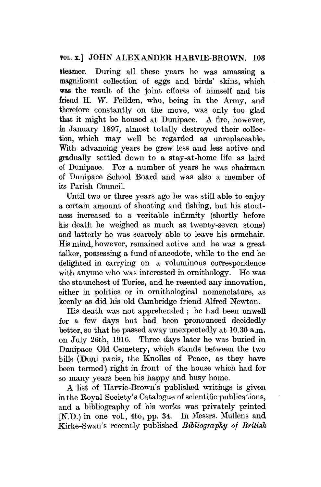## TOL. x.] JOHN ALEXANDER HARVIE-BROWN. 103

steamer. During all these years he was amassing a magnificent collection of eggs and birds' skins, which was the result of the joint efforts of himself and his friend H. W. Feilden, who, being in the Army, and therefore constantly on the move, was only too glad that it might be housed at Dunipace. A fire, however, in January 1897, almost totally destroyed their collection, which may well be regarded as unreplaeeable. With advancing years he grew less and less active and gradually settled down to a stay-at-home life as laird of Dunipace. For a number of years he was chairman of Dunipace School Board and was also a member of its Parish Council.

Until two or three years ago he was still able to enjoy a certain amount of shooting and fishing, but his stoutness increased to a veritable infirmity (shortly before his death he weighed as much as twenty-seven stone) and latterly he was scarcely able to leave his armchair. His mind, however, remained active and he was a great talker, possessing a fund of anecdote, while to the end he delighted in carrying on a voluminous correspondence with anyone who was interested in ornithology. He was the staunchest of Tories, and he resented any innovation, either in politics or in ornithological nomenclature, as keenly as did his old Cambridge friend Alfred Newton.

His death was not apprehended; he had been unwell for a few days but had been pronounced decidedly better, so that he passed away unexpectedly at 10.30 a.m. on July 26th, 1916. Three days later he was buried in Dunipace Old Cemetery, which stands between the two hills (Duni pacis, the Knolles of Peace, as they have been termed) right in front of the house which had for so many years been his happy and busy home.

A list of Harvie-Brown's published writings is given in the Royal Society's Catalogue of scientific publications, and a bibliography of his works was privately printed [N.D.) in one vol., 4to, pp. 34. In Messrs. Mullens and Kirke-Swan's recently published *Bibliography of British*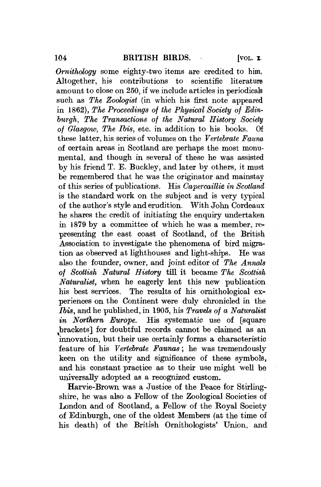*Ornithology* some eighty-two items are credited to him. Altogether, his contributions to scientific literature amount to close on 250, if we include articles in periodicals such as *The Zoologist* (in which his first note appeared in 1862), *The Proceedings of the Physical Society of Edinburgh, The Transactions of the Natural History Society of Glasgow, The Ibis,* etc. in addition to his books. Of these latter, his series of Tolumes on the *Vertebrate Fauna*  of certain areas in Scotland are perhaps the most monumental, and though in several of these he was assisted by his friend T. E. Buckley, and later by others, it must be remembered that he was the originator and mainstay of this series of publications. His *Capercaillie in Scotland*  is the standard work on the subject and is very typical of the author's style and erudition. With John Cordeaux he shares the credit of initiating the enquiry undertaken in 1879 by a committee of which he was a member, representing the east coast of Scotland, of the British Association to investigate the phenomena of bird migration as observed at lighthouses and light-ships. He was also the founder, owner, and joint editor of *The Annals of Scottish Natural History* till it became *The Scottish Naturalist,* when he eagerly lent this new publication his best services. The results of his ornithological experiences on the Continent were duly chronicled in the *Ibis,* and he published, in 1905, his *Travels of a Naturalist in Northern Europe.* His systematic use of [square brackets] for doubtful records cannot be claimed as an innovation, but their use certainly forms a characteristic feature of his *Vertebrate Faunas*; he was tremendously keen on the utility and significance of these symbols, and his constant practice as to their use might well be universally adopted as a recognized custom.

Harvie-Brown was a Justice of the Peace for Stirlingshire, he was also a Fellow of the Zoological Societies of London and of Scotland, a Fellow of the Royal Society of Edinburgh, one of the oldest Members (at the time of his death) of the British Ornithologists' Union, and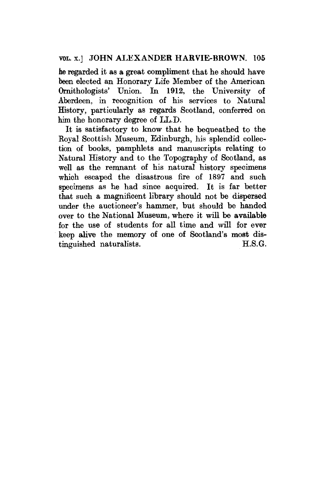he regarded it as a great compliment that he should have been elected an Honorary Life Member of the American Ornithologists' Union. In 1912, the University of Aberdeen, in recognition of his services to Natural History, particularly as regards Scotland, conferred on him the honorary degree of LL.D.

It is satisfactory to know that he bequeathed to the Royal Scottish Museum, Edinburgh, his splendid collection of books, pamphlets and manuscripts relating to Natural History and to the Topography of Scotland, as well as the remnant of his natural history specimens which escaped the disastrous fire of 1897 and such specimens as he had since acquired. It is far better that such a magnificent library should not be dispersed under the auctioneer's hammer, but should be handed over to the National Museum, where it will be available for the use of students for all time and will for ever keep alive the memory of one of Scotland's most distinguished naturalists. H.S.G.